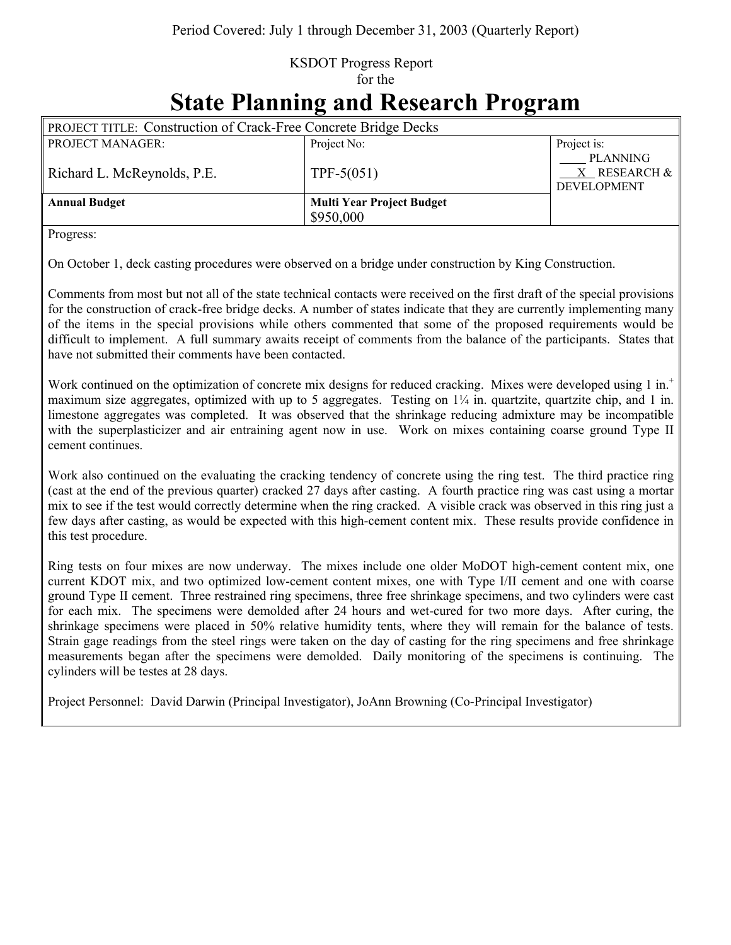## KSDOT Progress Report for the

## **State Planning and Research Program**

| <b>PROJECT TITLE: Construction of Crack-Free Concrete Bridge Decks</b> |                                  |                                                       |
|------------------------------------------------------------------------|----------------------------------|-------------------------------------------------------|
| <b>PROJECT MANAGER:</b>                                                | Project No:                      | Project is:                                           |
| Richard L. McReynolds, P.E.                                            | TPF-5 $(051)$                    | <b>PLANNING</b><br>X RESEARCH &<br><b>DEVELOPMENT</b> |
| <b>Annual Budget</b>                                                   | <b>Multi Year Project Budget</b> |                                                       |
|                                                                        | \$950,000                        |                                                       |

Progress:

On October 1, deck casting procedures were observed on a bridge under construction by King Construction.

Comments from most but not all of the state technical contacts were received on the first draft of the special provisions for the construction of crack-free bridge decks. A number of states indicate that they are currently implementing many of the items in the special provisions while others commented that some of the proposed requirements would be difficult to implement. A full summary awaits receipt of comments from the balance of the participants. States that have not submitted their comments have been contacted.

Work continued on the optimization of concrete mix designs for reduced cracking. Mixes were developed using 1 in.<sup>+</sup> maximum size aggregates, optimized with up to 5 aggregates. Testing on  $1/4$  in. quartzite, quartzite chip, and 1 in. limestone aggregates was completed. It was observed that the shrinkage reducing admixture may be incompatible with the superplasticizer and air entraining agent now in use. Work on mixes containing coarse ground Type II cement continues.

Work also continued on the evaluating the cracking tendency of concrete using the ring test. The third practice ring (cast at the end of the previous quarter) cracked 27 days after casting. A fourth practice ring was cast using a mortar mix to see if the test would correctly determine when the ring cracked. A visible crack was observed in this ring just a few days after casting, as would be expected with this high-cement content mix. These results provide confidence in this test procedure.

Ring tests on four mixes are now underway. The mixes include one older MoDOT high-cement content mix, one current KDOT mix, and two optimized low-cement content mixes, one with Type I/II cement and one with coarse ground Type II cement. Three restrained ring specimens, three free shrinkage specimens, and two cylinders were cast for each mix. The specimens were demolded after 24 hours and wet-cured for two more days. After curing, the shrinkage specimens were placed in 50% relative humidity tents, where they will remain for the balance of tests. Strain gage readings from the steel rings were taken on the day of casting for the ring specimens and free shrinkage measurements began after the specimens were demolded. Daily monitoring of the specimens is continuing. The cylinders will be testes at 28 days.

Project Personnel: David Darwin (Principal Investigator), JoAnn Browning (Co-Principal Investigator)